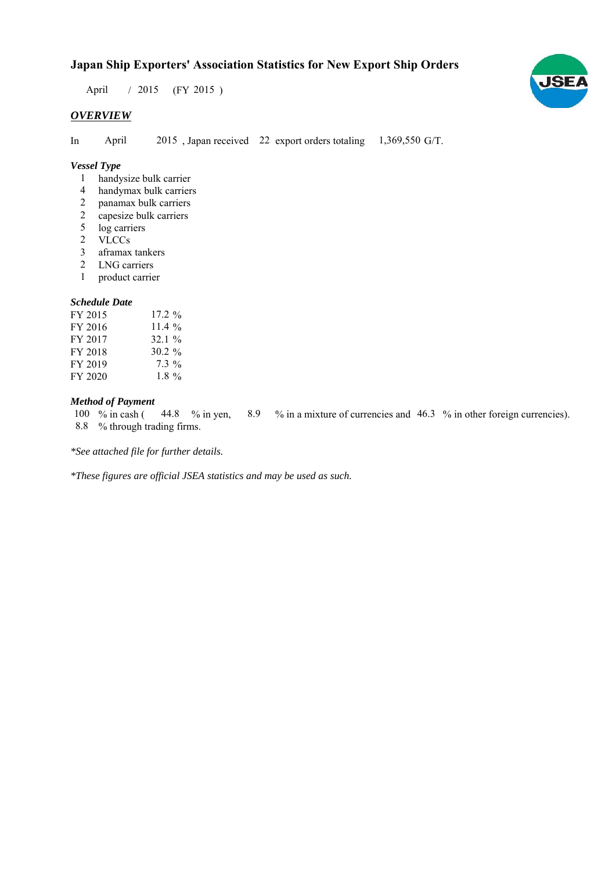# **Japan Ship Exporters' Association Statistics for New Export Ship Orders**

April / 2015 (FY 2015)

#### *OVERVIEW*

In April  $2015$ , Japan received 22 export orders totaling  $1,369,550$  G/T. April

#### *Vessel Type*

- handysize bulk carrier 1
- handymax bulk carriers 4
- panamax bulk carriers 2
- capesize bulk carriers 2
- log carriers 5
- VLCCs 2
- aframax tankers 3
- LNG carriers 2
- product carrier 1

## *Schedule Date*

| FY 2015 | $17.2 \%$ |
|---------|-----------|
| FY 2016 | 11.4%     |
| FY 2017 | $32.1 \%$ |
| FY 2018 | $30.2 \%$ |
| FY 2019 | $7.3\%$   |
| FY 2020 | $1.8 \%$  |

#### *Method of Payment*

% in cash ( $\frac{44.8}{8}$  % in yen,  $\frac{8.9}{8}$  % in a mixture of currencies and 46.3 % in other foreign currencies). % through trading firms. 8.8 100 % in cash  $(44.8 \degree \% \text{ in yen})$ 

*\*See attached file for further details.*

*\*These figures are official JSEA statistics and may be used as such.*

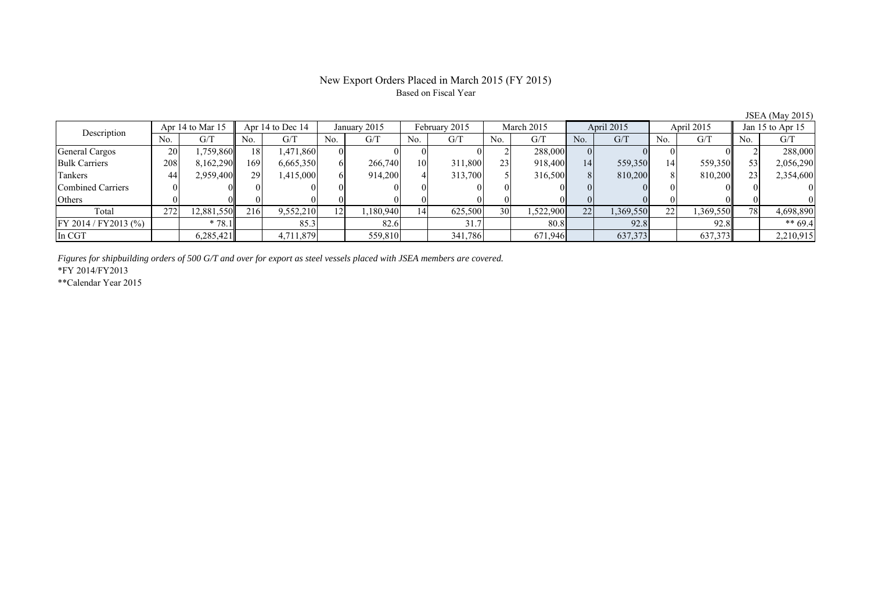#### New Export Orders Placed in March 2015 (FY 2015) Based on Fiscal Year

| Description              |     | Apr 14 to Mar 15 |     | Apr 14 to Dec 14 | January 2015 |          | February 2015 |         | March 2015 |           | April 2015 |           | April 2015 |           | Jan 15 to Apr 15 |           |
|--------------------------|-----|------------------|-----|------------------|--------------|----------|---------------|---------|------------|-----------|------------|-----------|------------|-----------|------------------|-----------|
|                          | No. | G/T              | No. | G/T              | No.          | G/T      | No.           | G/T     | No.        | G/T       | No.        | G/T       | No.        | G/T       | N <sub>0</sub>   | G/T       |
| General Cargos           | 20  | .759,860         | 18  | .471,860         |              |          |               |         |            | 288,000   |            |           |            |           |                  | 288,000   |
| <b>Bulk Carriers</b>     | 208 | 8,162,290        | 169 | 6,665,350        |              | 266,740  | 10            | 311,800 | 23         | 918,400   | 14         | 559,350   |            | 559,350   |                  | 2,056,290 |
| Tankers                  | 44  | 2,959,400        | 29  | 1,415,000        | h            | 914.200  |               | 313,700 |            | 316,500   |            | 810,200   |            | 810,200   |                  | 2,354,600 |
| <b>Combined Carriers</b> |     |                  |     |                  |              |          |               |         |            |           |            |           |            |           |                  |           |
| Others                   |     |                  |     |                  |              |          |               |         |            |           |            |           |            |           |                  |           |
| Total                    | 272 | 12,881,550       | 216 | 9,552,210        |              | .180,940 | 14            | 625,500 | 30         | 1,522,900 | 22         | 1,369,550 | 22         | 1,369,550 | 78               | 4,698,890 |
| FY 2014 / FY 2013 (%)    |     | $*78.1$          |     | 85.3             |              | 82.6     |               |         |            | 80.8      |            | 92.8      |            | 92.8      |                  | ** $69.4$ |
| In CGT                   |     | 6,285,421        |     | 4,711,879        |              | 559,810  |               | 341,786 |            | 671,946   |            | 637,373   |            | 637,373   |                  | 2,210,915 |

*Figures for shipbuilding orders of 500 G/T and over for export as steel vessels placed with JSEA members are covered.*

\*FY 2014/FY2013

\*\*Calendar Year 2015

JSEA (May 2015)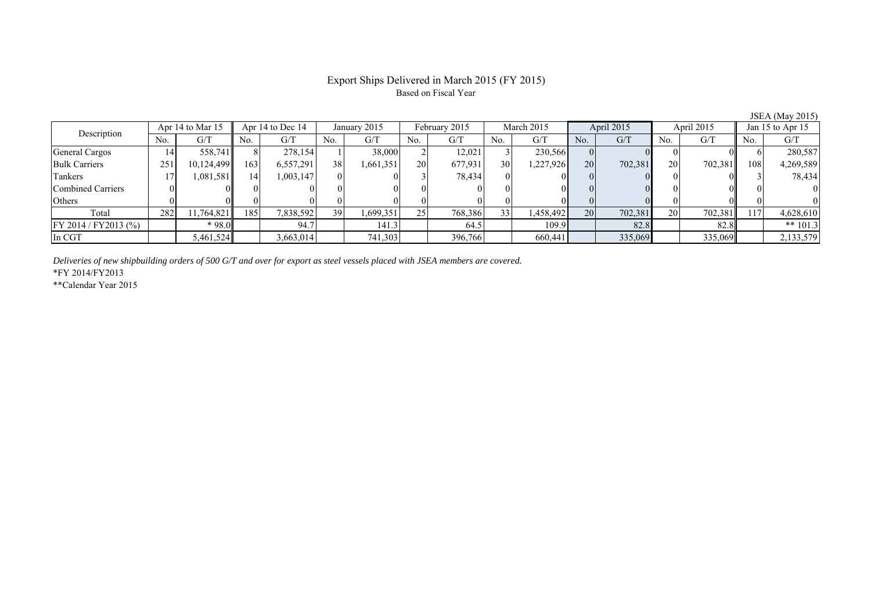## Export Ships Delivered in March 2015 (FY 2015) Based on Fiscal Year

| $\cdots$                 |     |                                      |     |              |     |               |           |            |     |            |                |            |     |                    |     |            |
|--------------------------|-----|--------------------------------------|-----|--------------|-----|---------------|-----------|------------|-----|------------|----------------|------------|-----|--------------------|-----|------------|
| Description              |     | Apr 14 to Mar 15<br>Apr 14 to Dec 14 |     | January 2015 |     | February 2015 |           | March 2015 |     | April 2015 |                | April 2015 |     | Jan 15 to Apr $15$ |     |            |
|                          | No. | G/T                                  | No. | G/T          | No. | G/T           | No.       | G/T        | No. | G/T        | N <sub>0</sub> | G/T        | No. | G/T                | No. | G/T        |
| General Cargos           | 14  | 558,741                              |     | 278.154      |     | 38.000        |           | 12,021     |     | 230,566    |                |            |     |                    |     | 280,587    |
| <b>Bulk Carriers</b>     | 251 | 10,124,499                           | 163 | 6,557,291    | 38  | 1,661,351     | <b>20</b> | 677,931    | 30  | 1,227,926  | <b>20</b>      | 702,381    | 20  | 702,381            | 108 | 4,269,589  |
| Tankers                  |     | 1,081,581                            | 14  | 1,003,147    |     |               |           | 78,434     |     |            |                |            |     |                    |     | 78,434     |
| <b>Combined Carriers</b> |     |                                      |     |              |     |               |           |            |     |            |                |            |     |                    |     |            |
| Others                   |     |                                      |     |              |     |               |           |            |     |            |                |            |     |                    |     |            |
| Total                    | 282 | 11,764,821                           | 185 | 7,838,592    | 39  | 1,699,351     | 25        | 768,386    | 33  | 1,458,492  | <b>20</b>      | 702,381    | 20  | 702,381            | 110 | 4,628,610  |
| FY 2014 / FY 2013 (%)    |     | * 98.0                               |     | 94.7         |     | 141.3         |           | 64.5       |     | 109.9      |                | 82.8       |     | 82.8               |     | ** $101.3$ |
| In CGT                   |     | 5,461,524                            |     | 3,663,014    |     | 741,303       |           | 396,766    |     | 660,441    |                | 335,069    |     | 335,069            |     | 2,133,579  |

*Deliveries of new shipbuilding orders of 500 G/T and over for export as steel vessels placed with JSEA members are covered.*

\*FY 2014/FY2013

\*\*Calendar Year 2015

JSEA (May 2015)